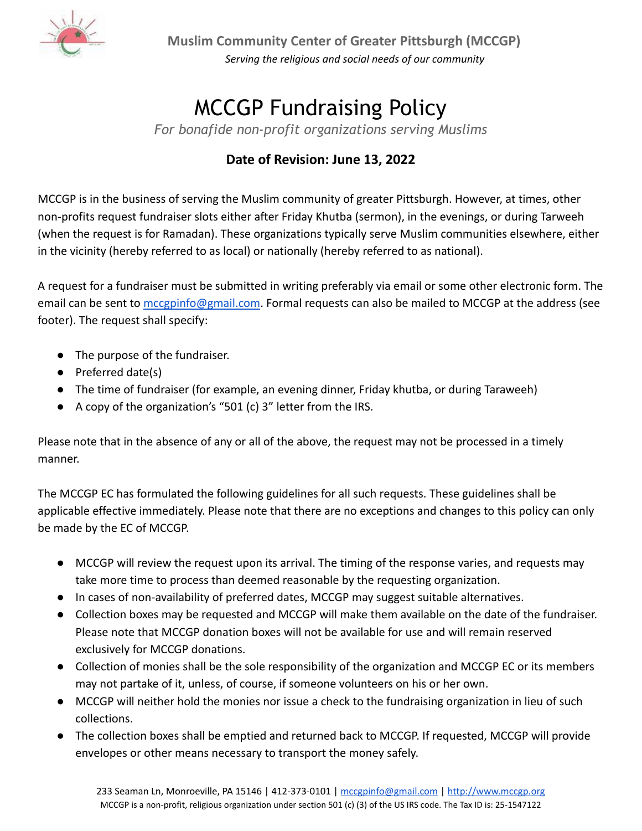

**Muslim Community Center of Greater Pittsburgh (MCCGP)** *Serving the religious and social needs of our community*

## MCCGP Fundraising Policy

*For bonafide non-profit organizations serving Muslims*

## **Date of Revision: June 13, 2022**

MCCGP is in the business of serving the Muslim community of greater Pittsburgh. However, at times, other non-profits request fundraiser slots either after Friday Khutba (sermon), in the evenings, or during Tarweeh (when the request is for Ramadan). These organizations typically serve Muslim communities elsewhere, either in the vicinity (hereby referred to as local) or nationally (hereby referred to as national).

A request for a fundraiser must be submitted in writing preferably via email or some other electronic form. The email can be sent to [mccgpinfo@gmail.com](mailto:mccgpinfo@gmail.com). Formal requests can also be mailed to MCCGP at the address (see footer). The request shall specify:

- The purpose of the fundraiser.
- Preferred date(s)
- The time of fundraiser (for example, an evening dinner, Friday khutba, or during Taraweeh)
- A copy of the organization's "501 (c) 3" letter from the IRS.

Please note that in the absence of any or all of the above, the request may not be processed in a timely manner.

The MCCGP EC has formulated the following guidelines for all such requests. These guidelines shall be applicable effective immediately. Please note that there are no exceptions and changes to this policy can only be made by the EC of MCCGP.

- MCCGP will review the request upon its arrival. The timing of the response varies, and requests may take more time to process than deemed reasonable by the requesting organization.
- In cases of non-availability of preferred dates, MCCGP may suggest suitable alternatives.
- Collection boxes may be requested and MCCGP will make them available on the date of the fundraiser. Please note that MCCGP donation boxes will not be available for use and will remain reserved exclusively for MCCGP donations.
- Collection of monies shall be the sole responsibility of the organization and MCCGP EC or its members may not partake of it, unless, of course, if someone volunteers on his or her own.
- MCCGP will neither hold the monies nor issue a check to the fundraising organization in lieu of such collections.
- The collection boxes shall be emptied and returned back to MCCGP. If requested, MCCGP will provide envelopes or other means necessary to transport the money safely.